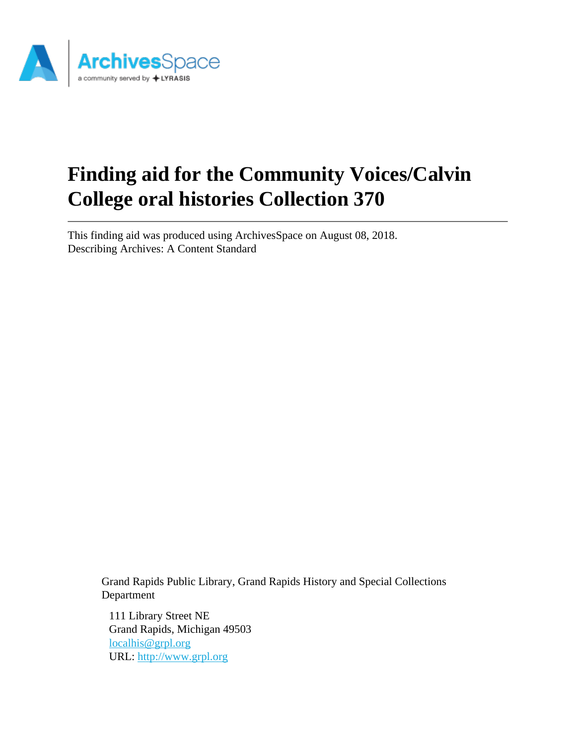

# **Finding aid for the Community Voices/Calvin College oral histories Collection 370**

This finding aid was produced using ArchivesSpace on August 08, 2018. Describing Archives: A Content Standard

> Grand Rapids Public Library, Grand Rapids History and Special Collections Department

111 Library Street NE Grand Rapids, Michigan 49503 [localhis@grpl.org](mailto:localhis@grpl.org) URL:<http://www.grpl.org>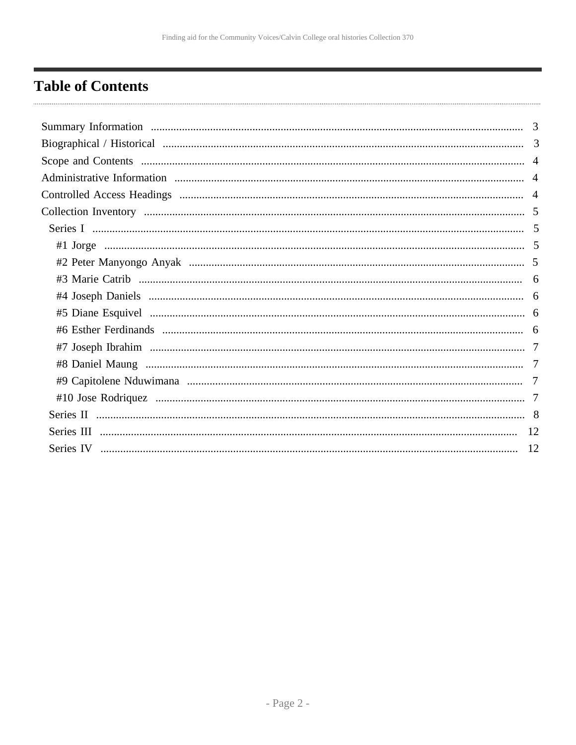# <span id="page-1-0"></span>**Table of Contents**

| 3 |
|---|
|   |
|   |
|   |
|   |
|   |
|   |
|   |
|   |
|   |
|   |
|   |
|   |
|   |
|   |
|   |
|   |
|   |
|   |
|   |
|   |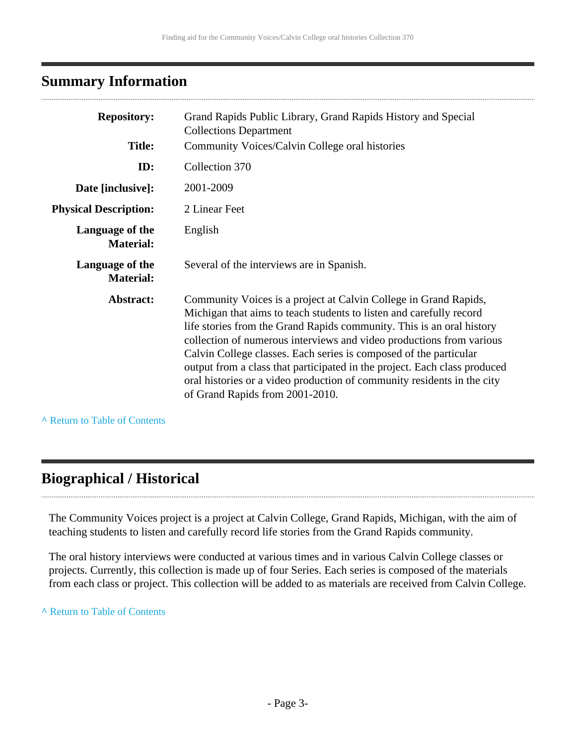# <span id="page-2-0"></span>**Summary Information**

| <b>Repository:</b>                  | Grand Rapids Public Library, Grand Rapids History and Special<br><b>Collections Department</b>                                                                                                                                                                                                                                                                                                                                                                                                                                                           |
|-------------------------------------|----------------------------------------------------------------------------------------------------------------------------------------------------------------------------------------------------------------------------------------------------------------------------------------------------------------------------------------------------------------------------------------------------------------------------------------------------------------------------------------------------------------------------------------------------------|
| <b>Title:</b>                       | Community Voices/Calvin College oral histories                                                                                                                                                                                                                                                                                                                                                                                                                                                                                                           |
| ID:                                 | Collection 370                                                                                                                                                                                                                                                                                                                                                                                                                                                                                                                                           |
| Date [inclusive]:                   | 2001-2009                                                                                                                                                                                                                                                                                                                                                                                                                                                                                                                                                |
| <b>Physical Description:</b>        | 2 Linear Feet                                                                                                                                                                                                                                                                                                                                                                                                                                                                                                                                            |
| Language of the<br><b>Material:</b> | English                                                                                                                                                                                                                                                                                                                                                                                                                                                                                                                                                  |
| Language of the<br><b>Material:</b> | Several of the interviews are in Spanish.                                                                                                                                                                                                                                                                                                                                                                                                                                                                                                                |
| Abstract:                           | Community Voices is a project at Calvin College in Grand Rapids,<br>Michigan that aims to teach students to listen and carefully record<br>life stories from the Grand Rapids community. This is an oral history<br>collection of numerous interviews and video productions from various<br>Calvin College classes. Each series is composed of the particular<br>output from a class that participated in the project. Each class produced<br>oral histories or a video production of community residents in the city<br>of Grand Rapids from 2001-2010. |

**^** [Return to Table of Contents](#page-1-0)

# <span id="page-2-1"></span>**Biographical / Historical**

The Community Voices project is a project at Calvin College, Grand Rapids, Michigan, with the aim of teaching students to listen and carefully record life stories from the Grand Rapids community.

The oral history interviews were conducted at various times and in various Calvin College classes or projects. Currently, this collection is made up of four Series. Each series is composed of the materials from each class or project. This collection will be added to as materials are received from Calvin College.

#### **^** [Return to Table of Contents](#page-1-0)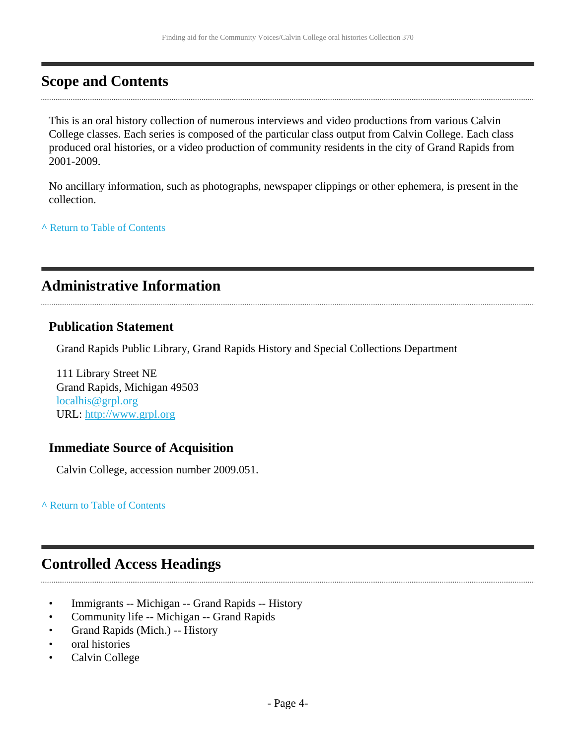# <span id="page-3-0"></span>**Scope and Contents**

This is an oral history collection of numerous interviews and video productions from various Calvin College classes. Each series is composed of the particular class output from Calvin College. Each class produced oral histories, or a video production of community residents in the city of Grand Rapids from 2001-2009.

No ancillary information, such as photographs, newspaper clippings or other ephemera, is present in the collection.

**^** [Return to Table of Contents](#page-1-0)

# <span id="page-3-1"></span>**Administrative Information**

### **Publication Statement**

Grand Rapids Public Library, Grand Rapids History and Special Collections Department

111 Library Street NE Grand Rapids, Michigan 49503 [localhis@grpl.org](mailto:localhis@grpl.org) URL:<http://www.grpl.org>

### **Immediate Source of Acquisition**

Calvin College, accession number 2009.051.

**^** [Return to Table of Contents](#page-1-0)

# <span id="page-3-2"></span>**Controlled Access Headings**

- Immigrants -- Michigan -- Grand Rapids -- History
- Community life -- Michigan -- Grand Rapids
- Grand Rapids (Mich.) -- History
- oral histories
- Calvin College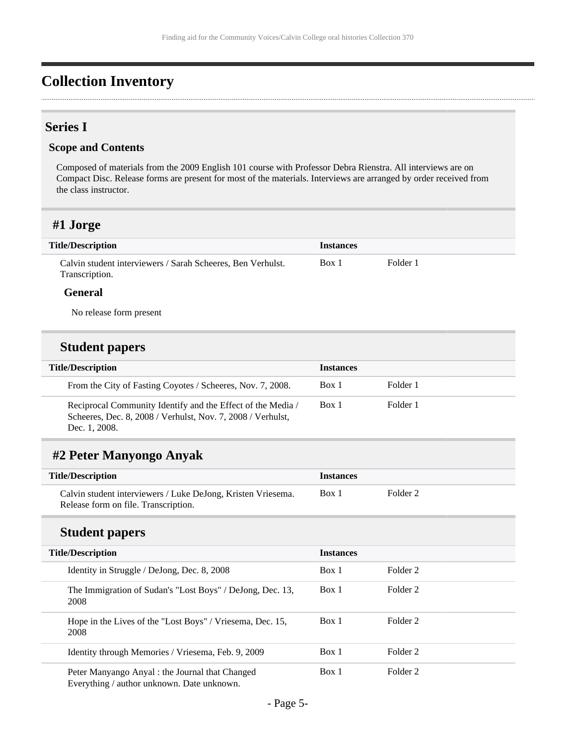# <span id="page-4-0"></span>**Collection Inventory**

### <span id="page-4-1"></span>**Series I**

#### **Scope and Contents**

Composed of materials from the 2009 English 101 course with Professor Debra Rienstra. All interviews are on Compact Disc. Release forms are present for most of the materials. Interviews are arranged by order received from the class instructor.

### <span id="page-4-2"></span>**#1 Jorge**

| <b>Title/Description</b>                                                      | <b>Instances</b> |          |
|-------------------------------------------------------------------------------|------------------|----------|
| Calvin student interviewers / Sarah Scheeres, Ben Verhulst.<br>Transcription. | Box 1            | Folder 1 |

#### **General**

No release form present

### **Student papers**

| <b>Title/Description</b>                                                                                                                    | <b>Instances</b> |          |
|---------------------------------------------------------------------------------------------------------------------------------------------|------------------|----------|
| From the City of Fasting Coyotes / Scheeres, Nov. 7, 2008.                                                                                  | Box 1            | Folder 1 |
| Reciprocal Community Identify and the Effect of the Media /<br>Scheeres, Dec. 8, 2008 / Verhulst, Nov. 7, 2008 / Verhulst,<br>Dec. 1, 2008. | Box 1            | Folder 1 |

### <span id="page-4-3"></span>**#2 Peter Manyongo Anyak**

| <b>Title/Description</b>                                     | <i><u><b>Instances</b></u></i> |          |
|--------------------------------------------------------------|--------------------------------|----------|
| Calvin student interviewers / Luke DeJong, Kristen Vriesema. | Box 1                          | Folder 2 |
| Release form on file. Transcription.                         |                                |          |

### **Student papers**

| <b>Title/Description</b> |                                                                                               | <b>Instances</b> |          |
|--------------------------|-----------------------------------------------------------------------------------------------|------------------|----------|
|                          | Identity in Struggle / DeJong, Dec. 8, 2008                                                   | Box 1            | Folder 2 |
|                          | The Immigration of Sudan's "Lost Boys" / DeJong, Dec. 13,<br>2008                             | Box 1            | Folder 2 |
|                          | Hope in the Lives of the "Lost Boys" / Vriesema, Dec. 15,<br>2008                             | Box 1            | Folder 2 |
|                          | Identity through Memories / Vriesema, Feb. 9, 2009                                            | Box 1            | Folder 2 |
|                          | Peter Manyango Anyal : the Journal that Changed<br>Everything / author unknown. Date unknown. | Box 1            | Folder 2 |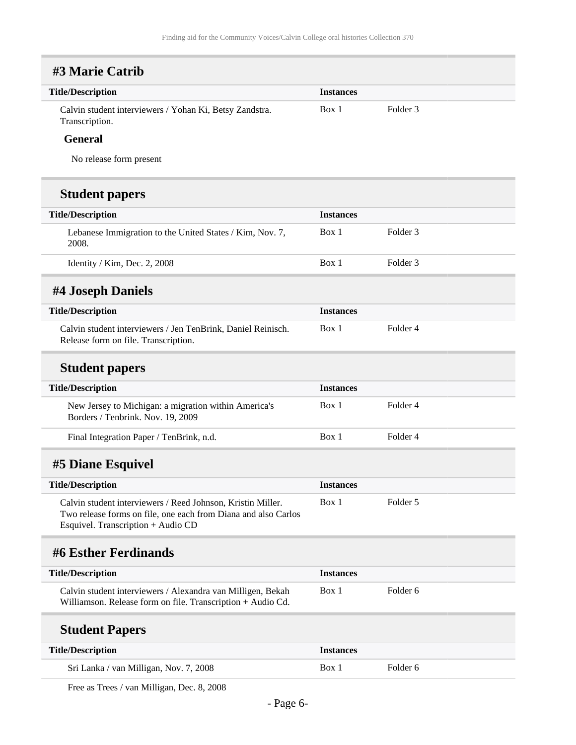# <span id="page-5-0"></span>**#3 Marie Catrib**

| <b>Title/Description</b>                                                  | <i><u><b>Instances</b></u></i> |          |  |
|---------------------------------------------------------------------------|--------------------------------|----------|--|
| Calvin student interviewers / Yohan Ki, Betsy Zandstra.<br>Transcription. | Box 1                          | Folder 3 |  |

#### **General**

No release form present

## **Student papers**

| <b>Title/Description</b> |                                                                   | <b>Instances</b> |          |
|--------------------------|-------------------------------------------------------------------|------------------|----------|
|                          | Lebanese Immigration to the United States / Kim, Nov. 7,<br>2008. | Box 1            | Folder 3 |
|                          | Identity / Kim, Dec. 2, 2008                                      | Box 1            | Folder 3 |

## <span id="page-5-1"></span>**#4 Joseph Daniels**

| <b>Title/Description</b>                                     | <i>Instances</i> |          |
|--------------------------------------------------------------|------------------|----------|
| Calvin student interviewers / Jen TenBrink, Daniel Reinisch. | Box 1            | Folder 4 |
| Release form on file. Transcription.                         |                  |          |

### **Student papers**

| <b>Title/Description</b>                                                                  | <b>Instances</b> |          |
|-------------------------------------------------------------------------------------------|------------------|----------|
| New Jersey to Michigan: a migration within America's<br>Borders / Tenbrink. Nov. 19, 2009 | Box 1            | Folder 4 |
| Final Integration Paper / TenBrink, n.d.                                                  | Box 1            | Folder 4 |

# <span id="page-5-2"></span>**#5 Diane Esquivel**

| <b>Title/Description</b>                                                                                                                                            | <b>Instances</b> |          |
|---------------------------------------------------------------------------------------------------------------------------------------------------------------------|------------------|----------|
| Calvin student interviewers / Reed Johnson, Kristin Miller.<br>Two release forms on file, one each from Diana and also Carlos<br>Esquivel. Transcription + Audio CD | Box 1            | Folder 5 |

# <span id="page-5-3"></span>**#6 Esther Ferdinands**

| <b>Title/Description</b>                                    | <b>Instances</b> |          |
|-------------------------------------------------------------|------------------|----------|
| Calvin student interviewers / Alexandra van Milligen, Bekah | Box 1            | Folder 6 |
| Williamson. Release form on file. Transcription + Audio Cd. |                  |          |

## **Student Papers**

| <b>Title/Description</b>               | <i><u><b>Instances</b></u></i> |          |
|----------------------------------------|--------------------------------|----------|
| Sri Lanka / van Milligan, Nov. 7, 2008 | Box 1                          | Folder 6 |

Free as Trees / van Milligan, Dec. 8, 2008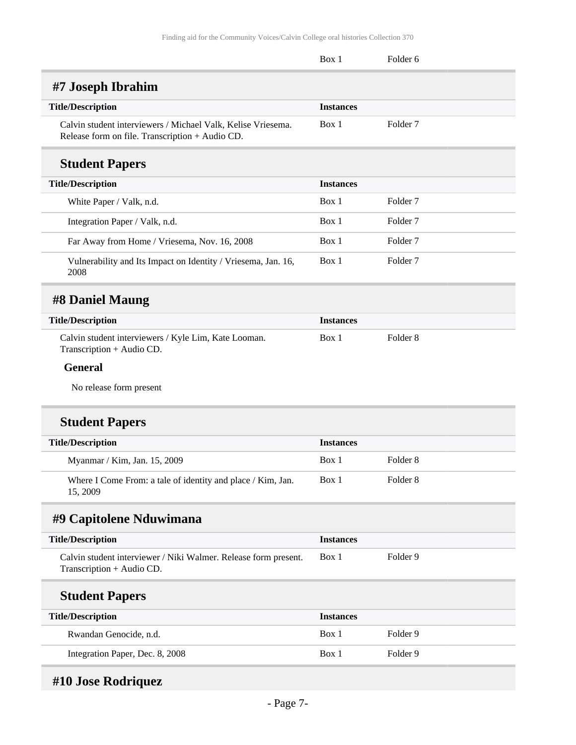<span id="page-6-1"></span><span id="page-6-0"></span>

|                                                                                                                 | Box 1            | Folder <sub>6</sub> |  |
|-----------------------------------------------------------------------------------------------------------------|------------------|---------------------|--|
| #7 Joseph Ibrahim                                                                                               |                  |                     |  |
| <b>Title/Description</b>                                                                                        | <b>Instances</b> |                     |  |
| Calvin student interviewers / Michael Valk, Kelise Vriesema.<br>Release form on file. Transcription + Audio CD. | Box 1            | Folder <sub>7</sub> |  |
| <b>Student Papers</b>                                                                                           |                  |                     |  |
| <b>Title/Description</b>                                                                                        | <b>Instances</b> |                     |  |
| White Paper / Valk, n.d.                                                                                        | Box 1            | Folder <sub>7</sub> |  |
| Integration Paper / Valk, n.d.                                                                                  | Box 1            | Folder <sub>7</sub> |  |
| Far Away from Home / Vriesema, Nov. 16, 2008                                                                    | Box 1            | Folder <sub>7</sub> |  |
| Vulnerability and Its Impact on Identity / Vriesema, Jan. 16,<br>2008                                           | Box 1            | Folder <sub>7</sub> |  |
| #8 Daniel Maung                                                                                                 |                  |                     |  |
| <b>Title/Description</b>                                                                                        | <b>Instances</b> |                     |  |
| Calvin student interviewers / Kyle Lim, Kate Looman.<br>Transcription + Audio CD.                               | Box 1            | Folder <sub>8</sub> |  |
| <b>General</b>                                                                                                  |                  |                     |  |
| No release form present                                                                                         |                  |                     |  |
| <b>Student Papers</b>                                                                                           |                  |                     |  |
| <b>Title/Description</b>                                                                                        | <b>Instances</b> |                     |  |
| Myanmar / Kim, Jan. 15, 2009                                                                                    | Box 1            | Folder <sub>8</sub> |  |
| Where I Come From: a tale of identity and place / Kim, Jan.<br>15, 2009                                         | Box 1            | Folder <sub>8</sub> |  |
| #9 Capitolene Nduwimana                                                                                         |                  |                     |  |
| <b>Title/Description</b>                                                                                        | <b>Instances</b> |                     |  |
| Calvin student interviewer / Niki Walmer. Release form present.<br>Transcription + Audio CD.                    | Box 1            | Folder 9            |  |
| <b>Student Papers</b>                                                                                           |                  |                     |  |
| <b>Title/Description</b>                                                                                        | <b>Instances</b> |                     |  |
| Rwandan Genocide, n.d.                                                                                          | Box 1            | Folder 9            |  |
| Integration Paper, Dec. 8, 2008                                                                                 | Box 1            | Folder 9            |  |
|                                                                                                                 |                  |                     |  |

### <span id="page-6-3"></span><span id="page-6-2"></span>**#10 Jose Rodriquez**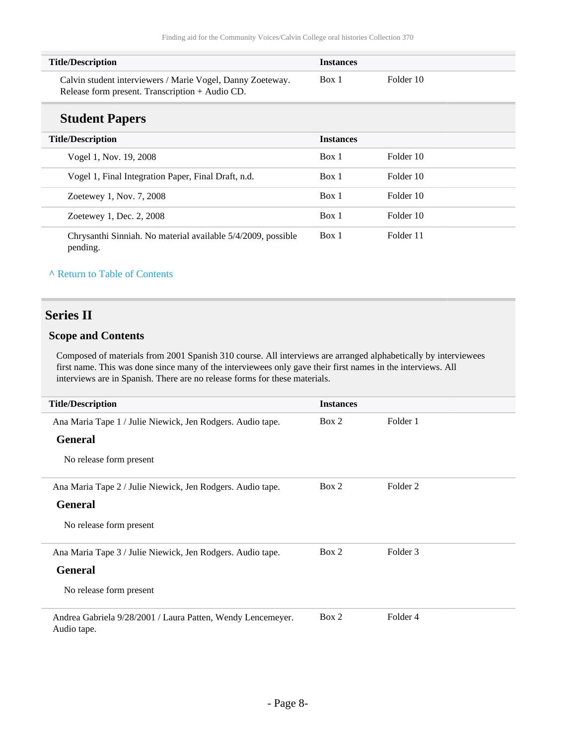| <b>Title/Description</b>                                   | <i><u><b>Instances</b></u></i> |           |
|------------------------------------------------------------|--------------------------------|-----------|
| Calvin student interviewers / Marie Vogel, Danny Zoeteway. | Box 1                          | Folder 10 |
| Release form present. Transcription + Audio CD.            |                                |           |

### **Student Papers**

| <b>Title/Description</b>                                                 | <b>Instances</b> |           |
|--------------------------------------------------------------------------|------------------|-----------|
| Vogel 1, Nov. 19, 2008                                                   | Box 1            | Folder 10 |
| Vogel 1, Final Integration Paper, Final Draft, n.d.                      | Box 1            | Folder 10 |
| Zoetewey 1, Nov. 7, 2008                                                 | Box 1            | Folder 10 |
| Zoetewey 1, Dec. 2, 2008                                                 | Box 1            | Folder 10 |
| Chrysanthi Sinniah. No material available 5/4/2009, possible<br>pending. | Box 1            | Folder 11 |

#### **^** [Return to Table of Contents](#page-1-0)

### <span id="page-7-0"></span>**Series II**

### **Scope and Contents**

Composed of materials from 2001 Spanish 310 course. All interviews are arranged alphabetically by interviewees first name. This was done since many of the interviewees only gave their first names in the interviews. All interviews are in Spanish. There are no release forms for these materials.

| <b>Title/Description</b>                                                   | <b>Instances</b> |          |
|----------------------------------------------------------------------------|------------------|----------|
| Ana Maria Tape 1 / Julie Niewick, Jen Rodgers. Audio tape.                 | Box 2            | Folder 1 |
| <b>General</b>                                                             |                  |          |
| No release form present                                                    |                  |          |
| Ana Maria Tape 2 / Julie Niewick, Jen Rodgers. Audio tape.                 | Box 2            | Folder 2 |
| <b>General</b>                                                             |                  |          |
| No release form present                                                    |                  |          |
| Ana Maria Tape 3 / Julie Niewick, Jen Rodgers. Audio tape.                 | Box 2            | Folder 3 |
| <b>General</b>                                                             |                  |          |
| No release form present                                                    |                  |          |
| Andrea Gabriela 9/28/2001 / Laura Patten, Wendy Lencemeyer.<br>Audio tape. | Box 2            | Folder 4 |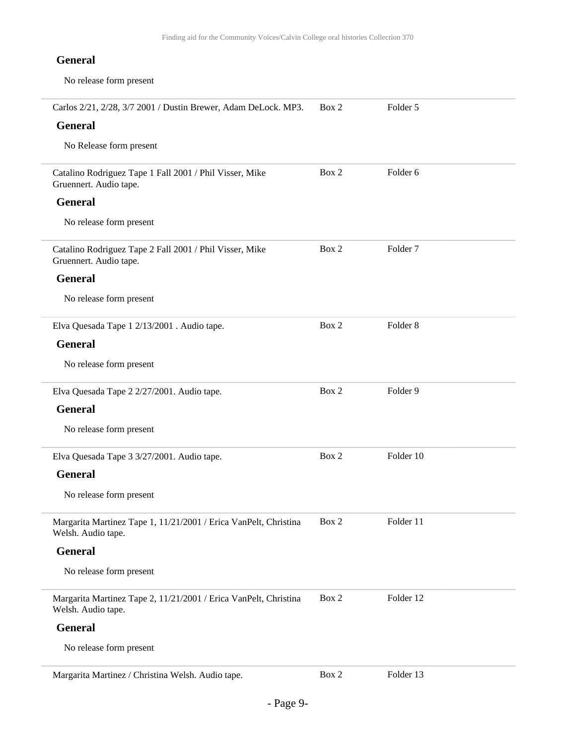| Carlos 2/21, 2/28, 3/7 2001 / Dustin Brewer, Adam DeLock. MP3.                         | Box 2 | Folder 5            |
|----------------------------------------------------------------------------------------|-------|---------------------|
| <b>General</b>                                                                         |       |                     |
| No Release form present                                                                |       |                     |
| Catalino Rodriguez Tape 1 Fall 2001 / Phil Visser, Mike<br>Gruennert. Audio tape.      | Box 2 | Folder 6            |
| <b>General</b>                                                                         |       |                     |
| No release form present                                                                |       |                     |
| Catalino Rodriguez Tape 2 Fall 2001 / Phil Visser, Mike<br>Gruennert. Audio tape.      | Box 2 | Folder <sub>7</sub> |
| <b>General</b>                                                                         |       |                     |
| No release form present                                                                |       |                     |
| Elva Quesada Tape 1 2/13/2001 . Audio tape.                                            | Box 2 | Folder <sub>8</sub> |
| <b>General</b>                                                                         |       |                     |
| No release form present                                                                |       |                     |
| Elva Quesada Tape 2 2/27/2001. Audio tape.                                             | Box 2 | Folder 9            |
| <b>General</b>                                                                         |       |                     |
| No release form present                                                                |       |                     |
| Elva Quesada Tape 3 3/27/2001. Audio tape.                                             | Box 2 | Folder 10           |
| <b>General</b>                                                                         |       |                     |
| No release form present                                                                |       |                     |
| Margarita Martinez Tape 1, 11/21/2001 / Erica VanPelt, Christina<br>Welsh. Audio tape. | Box 2 | Folder 11           |
| <b>General</b>                                                                         |       |                     |
| No release form present                                                                |       |                     |
| Margarita Martinez Tape 2, 11/21/2001 / Erica VanPelt, Christina<br>Welsh. Audio tape. | Box 2 | Folder 12           |
| <b>General</b>                                                                         |       |                     |
| No release form present                                                                |       |                     |
| Margarita Martinez / Christina Welsh. Audio tape.                                      | Box 2 | Folder 13           |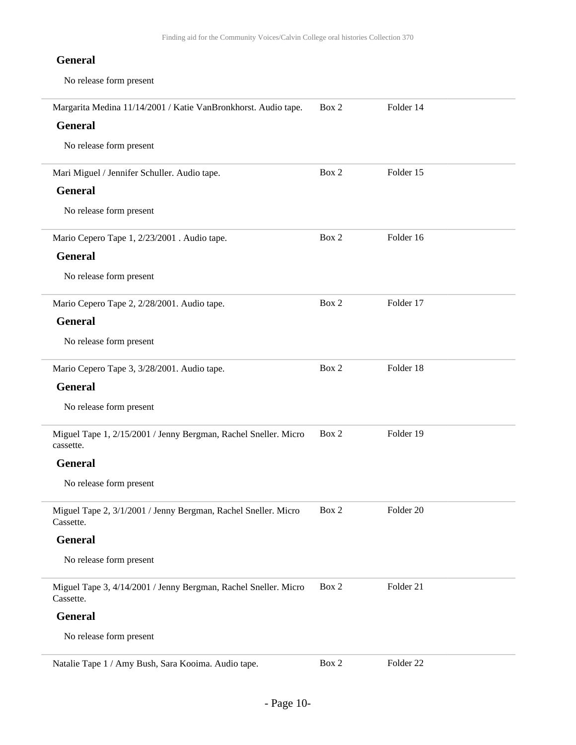| Margarita Medina 11/14/2001 / Katie VanBronkhorst. Audio tape.               | Box 2 | Folder 14 |
|------------------------------------------------------------------------------|-------|-----------|
| <b>General</b>                                                               |       |           |
| No release form present                                                      |       |           |
| Mari Miguel / Jennifer Schuller. Audio tape.                                 | Box 2 | Folder 15 |
| <b>General</b>                                                               |       |           |
| No release form present                                                      |       |           |
| Mario Cepero Tape 1, 2/23/2001. Audio tape.                                  | Box 2 | Folder 16 |
| <b>General</b>                                                               |       |           |
| No release form present                                                      |       |           |
| Mario Cepero Tape 2, 2/28/2001. Audio tape.                                  | Box 2 | Folder 17 |
| <b>General</b>                                                               |       |           |
| No release form present                                                      |       |           |
| Mario Cepero Tape 3, 3/28/2001. Audio tape.                                  | Box 2 | Folder 18 |
| <b>General</b>                                                               |       |           |
| No release form present                                                      |       |           |
| Miguel Tape 1, 2/15/2001 / Jenny Bergman, Rachel Sneller. Micro<br>cassette. | Box 2 | Folder 19 |
| <b>General</b>                                                               |       |           |
| No release form present                                                      |       |           |
| Miguel Tape 2, 3/1/2001 / Jenny Bergman, Rachel Sneller. Micro<br>Cassette.  | Box 2 | Folder 20 |
| <b>General</b>                                                               |       |           |
| No release form present                                                      |       |           |
| Miguel Tape 3, 4/14/2001 / Jenny Bergman, Rachel Sneller. Micro<br>Cassette. | Box 2 | Folder 21 |
| <b>General</b>                                                               |       |           |
| No release form present                                                      |       |           |
| Natalie Tape 1 / Amy Bush, Sara Kooima. Audio tape.                          | Box 2 | Folder 22 |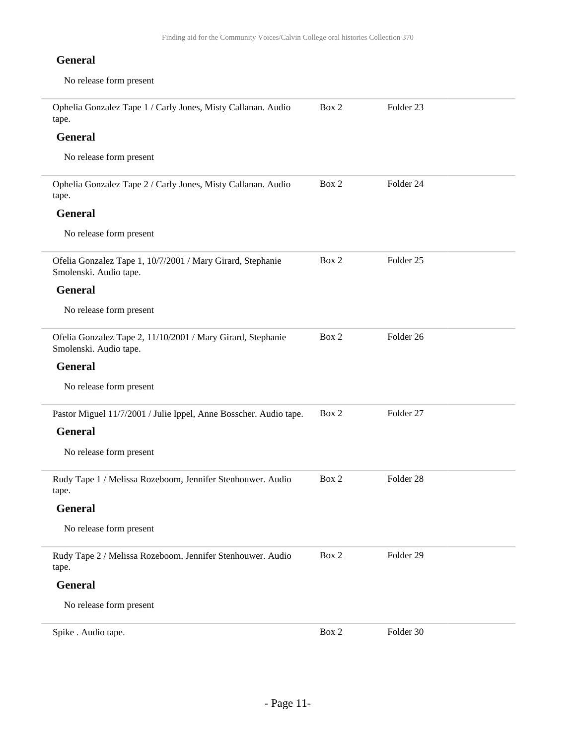| Ophelia Gonzalez Tape 1 / Carly Jones, Misty Callanan. Audio<br>tape.                 | Box 2 | Folder 23            |  |
|---------------------------------------------------------------------------------------|-------|----------------------|--|
| <b>General</b>                                                                        |       |                      |  |
| No release form present                                                               |       |                      |  |
| Ophelia Gonzalez Tape 2 / Carly Jones, Misty Callanan. Audio<br>tape.                 | Box 2 | Folder 24            |  |
| <b>General</b>                                                                        |       |                      |  |
| No release form present                                                               |       |                      |  |
| Ofelia Gonzalez Tape 1, 10/7/2001 / Mary Girard, Stephanie<br>Smolenski. Audio tape.  | Box 2 | Folder <sub>25</sub> |  |
| <b>General</b>                                                                        |       |                      |  |
| No release form present                                                               |       |                      |  |
| Ofelia Gonzalez Tape 2, 11/10/2001 / Mary Girard, Stephanie<br>Smolenski. Audio tape. | Box 2 | Folder 26            |  |
| <b>General</b>                                                                        |       |                      |  |
| No release form present                                                               |       |                      |  |
| Pastor Miguel 11/7/2001 / Julie Ippel, Anne Bosscher. Audio tape.                     | Box 2 | Folder 27            |  |
| <b>General</b>                                                                        |       |                      |  |
| No release form present                                                               |       |                      |  |
| Rudy Tape 1 / Melissa Rozeboom, Jennifer Stenhouwer. Audio<br>tape.                   | Box 2 | Folder <sub>28</sub> |  |
| <b>General</b>                                                                        |       |                      |  |
| No release form present                                                               |       |                      |  |
| Rudy Tape 2 / Melissa Rozeboom, Jennifer Stenhouwer. Audio<br>tape.                   | Box 2 | Folder 29            |  |
| <b>General</b>                                                                        |       |                      |  |
| No release form present                                                               |       |                      |  |
| Spike . Audio tape.                                                                   | Box 2 | Folder 30            |  |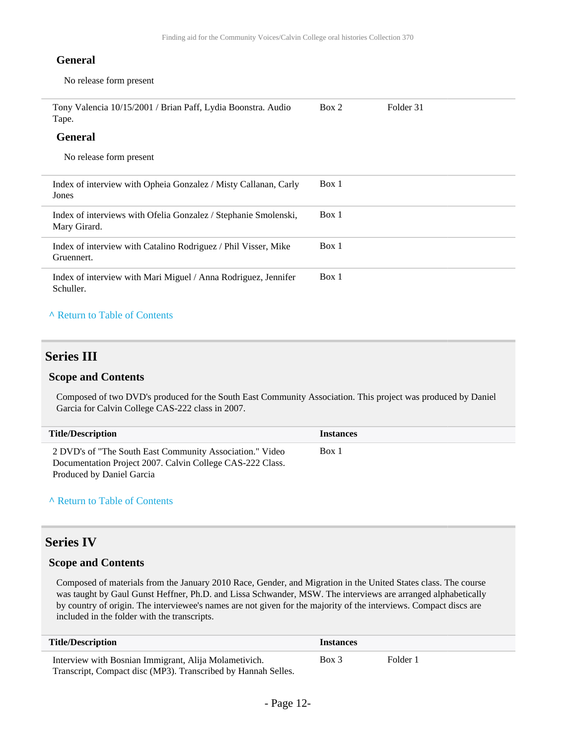No release form present

| Tony Valencia 10/15/2001 / Brian Paff, Lydia Boonstra. Audio<br>Tape.           | Box 2 | Folder 31 |
|---------------------------------------------------------------------------------|-------|-----------|
| <b>General</b>                                                                  |       |           |
| No release form present                                                         |       |           |
| Index of interview with Opheia Gonzalez / Misty Callanan, Carly<br>Jones        | Box 1 |           |
| Index of interviews with Ofelia Gonzalez / Stephanie Smolenski,<br>Mary Girard. | Box 1 |           |
| Index of interview with Catalino Rodriguez / Phil Visser, Mike<br>Gruennert.    | Box 1 |           |
| Index of interview with Mari Miguel / Anna Rodriguez, Jennifer<br>Schuller.     | Box 1 |           |

#### **^** [Return to Table of Contents](#page-1-0)

#### <span id="page-11-0"></span>**Series III**

#### **Scope and Contents**

Composed of two DVD's produced for the South East Community Association. This project was produced by Daniel Garcia for Calvin College CAS-222 class in 2007.

| <b>Title/Description</b>                                                                                              | <b>Instances</b> |
|-----------------------------------------------------------------------------------------------------------------------|------------------|
| 2 DVD's of "The South East Community Association." Video<br>Documentation Project 2007. Calvin College CAS-222 Class. | Box 1            |
| Produced by Daniel Garcia                                                                                             |                  |

#### **^** [Return to Table of Contents](#page-1-0)

### <span id="page-11-1"></span>**Series IV**

#### **Scope and Contents**

Composed of materials from the January 2010 Race, Gender, and Migration in the United States class. The course was taught by Gaul Gunst Heffner, Ph.D. and Lissa Schwander, MSW. The interviews are arranged alphabetically by country of origin. The interviewee's names are not given for the majority of the interviews. Compact discs are included in the folder with the transcripts.

| <b>Title/Description</b>                                      | <i><u><b>Instances</b></u></i> |          |
|---------------------------------------------------------------|--------------------------------|----------|
| Interview with Bosnian Immigrant, Alija Molametivich.         | Box 3                          | Folder 1 |
| Transcript, Compact disc (MP3). Transcribed by Hannah Selles. |                                |          |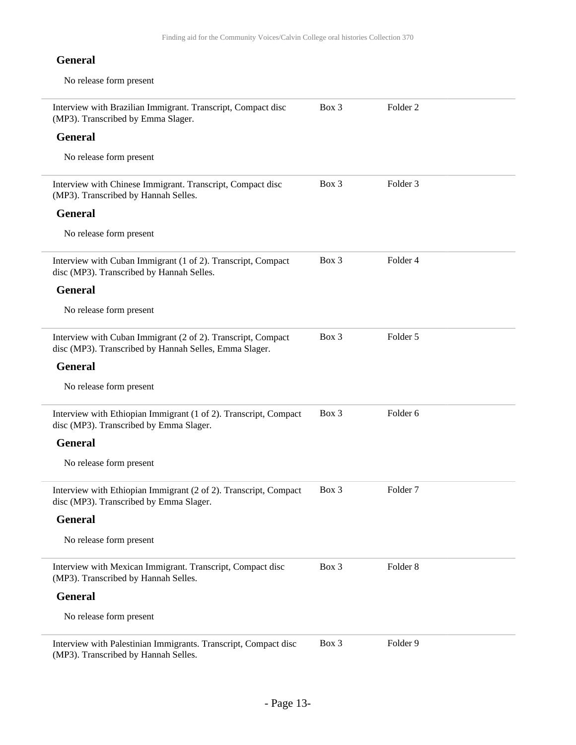| Interview with Brazilian Immigrant. Transcript, Compact disc<br>(MP3). Transcribed by Emma Slager.                     | Box 3   | Folder <sub>2</sub> |  |
|------------------------------------------------------------------------------------------------------------------------|---------|---------------------|--|
| <b>General</b>                                                                                                         |         |                     |  |
| No release form present                                                                                                |         |                     |  |
| Interview with Chinese Immigrant. Transcript, Compact disc<br>(MP3). Transcribed by Hannah Selles.                     | Box 3   | Folder <sub>3</sub> |  |
| <b>General</b>                                                                                                         |         |                     |  |
| No release form present                                                                                                |         |                     |  |
| Interview with Cuban Immigrant (1 of 2). Transcript, Compact<br>disc (MP3). Transcribed by Hannah Selles.              | Box 3   | Folder <sub>4</sub> |  |
| <b>General</b>                                                                                                         |         |                     |  |
| No release form present                                                                                                |         |                     |  |
| Interview with Cuban Immigrant (2 of 2). Transcript, Compact<br>disc (MP3). Transcribed by Hannah Selles, Emma Slager. | Box 3   | Folder 5            |  |
| <b>General</b>                                                                                                         |         |                     |  |
| No release form present                                                                                                |         |                     |  |
| Interview with Ethiopian Immigrant (1 of 2). Transcript, Compact<br>disc (MP3). Transcribed by Emma Slager.            | Box 3   | Folder 6            |  |
| <b>General</b>                                                                                                         |         |                     |  |
| No release form present                                                                                                |         |                     |  |
| Interview with Ethiopian Immigrant (2 of 2). Transcript, Compact<br>disc (MP3). Transcribed by Emma Slager.            | $Box$ 3 | Folder <sub>7</sub> |  |
| <b>General</b>                                                                                                         |         |                     |  |
| No release form present                                                                                                |         |                     |  |
| Interview with Mexican Immigrant. Transcript, Compact disc<br>(MP3). Transcribed by Hannah Selles.                     | Box 3   | Folder <sub>8</sub> |  |
| <b>General</b>                                                                                                         |         |                     |  |
| No release form present                                                                                                |         |                     |  |
| Interview with Palestinian Immigrants. Transcript, Compact disc<br>(MP3). Transcribed by Hannah Selles.                | Box 3   | Folder 9            |  |